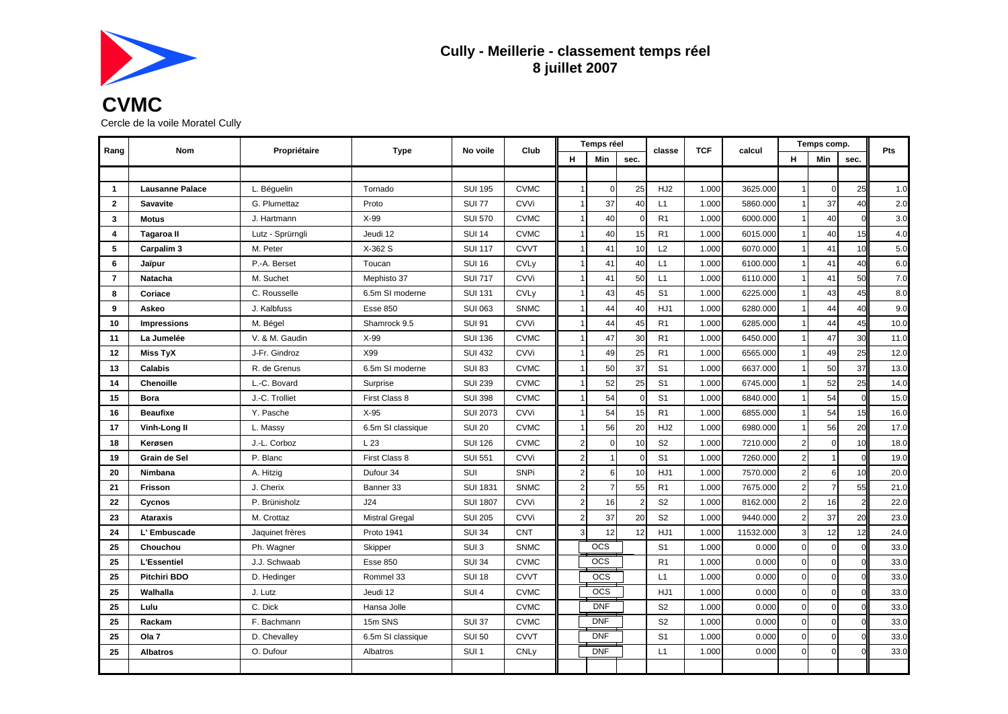

## **Cully - Meillerie - classement temps réel 8 juillet 2007**

## **CVMC** Cercle de la voile Moratel Cully

| Rang           | Nom                    | Propriétaire     | Type                  | No voile         | Club                   | Temps réel     |                | classe         | <b>TCF</b>      | calcul | Temps comp. |                |          | <b>Pts</b>     |      |
|----------------|------------------------|------------------|-----------------------|------------------|------------------------|----------------|----------------|----------------|-----------------|--------|-------------|----------------|----------|----------------|------|
|                |                        |                  |                       |                  |                        | н              | Min            | sec.           |                 |        |             | н              | Min      | sec.           |      |
|                |                        |                  |                       |                  |                        |                |                |                |                 |        |             |                |          |                |      |
| $\mathbf{1}$   | <b>Lausanne Palace</b> | L. Béquelin      | Tornado               | <b>SUI 195</b>   | <b>CVMC</b>            |                | $\Omega$       | 25             | HJ <sub>2</sub> | 1.000  | 3625.000    |                | $\Omega$ | 25             | 1.0  |
| $\overline{2}$ | <b>Savavite</b>        | G. Plumettaz     | Proto                 | <b>SUI 77</b>    | CVVi                   |                | 37             | 40             | L1              | 1.000  | 5860.000    |                | 37       | 40             | 2.0  |
| 3              | <b>Motus</b>           | J. Hartmann      | $X-99$                | <b>SUI 570</b>   | <b>CVMC</b>            |                | 40             | $\Omega$       | R1              | 1.000  | 6000.000    |                | 40       | $\Omega$       | 3.0  |
| 4              | Tagaroa II             | Lutz - Sprürngli | Jeudi 12              | <b>SUI 14</b>    | <b>CVMC</b>            |                | 40             | 15             | R1              | 1.000  | 6015.000    |                | 40       | 15             | 4.0  |
| 5              | Carpalim 3             | M. Peter         | X-362 S               | <b>SUI 117</b>   | <b>CVVT</b>            |                | 41             | 10             | L2              | 1.000  | 6070.000    |                | 41       | 10             | 5.0  |
| 6              | Jaïpur                 | P.-A. Berset     | Toucan                | <b>SUI 16</b>    | <b>CVL<sub>V</sub></b> |                | 41             | 40             | L1              | 1.000  | 6100.000    |                | 41       | 40             | 6.0  |
| $\overline{7}$ | Natacha                | M. Suchet        | Mephisto 37           | <b>SUI 717</b>   | CVVi                   |                | 41             | 50             | L1              | 1.000  | 6110.000    |                | 41       | 50             | 7.0  |
| 8              | Coriace                | C. Rousselle     | 6.5m SI moderne       | <b>SUI 131</b>   | <b>CVLy</b>            |                | 43             | 45             | S <sub>1</sub>  | 1.000  | 6225.000    |                | 43       | 45             | 8.0  |
| 9              | Askeo                  | J. Kalbfuss      | Esse 850              | <b>SUI 063</b>   | <b>SNMC</b>            |                | 44             | 40             | HJ1             | 1.000  | 6280.000    |                | 44       | 40             | 9.0  |
| 10             | <b>Impressions</b>     | M. Bégel         | Shamrock 9.5          | <b>SUI 91</b>    | CVVi                   |                | 44             | 45             | R <sub>1</sub>  | 1.000  | 6285.000    |                | 44       | 45             | 10.0 |
| 11             | La Jumelée             | V. & M. Gaudin   | $X-99$                | <b>SUI 136</b>   | <b>CVMC</b>            |                | 47             | 30             | R <sub>1</sub>  | 1.000  | 6450.000    |                | 47       | 30             | 11.0 |
| $12 \,$        | <b>Miss TyX</b>        | J-Fr. Gindroz    | X99                   | <b>SUI 432</b>   | CVVi                   |                | 49             | 25             | R1              | 1.000  | 6565.000    |                | 49       | 25             | 12.0 |
| 13             | <b>Calabis</b>         | R. de Grenus     | 6.5m SI moderne       | <b>SUI 83</b>    | <b>CVMC</b>            |                | 50             | 37             | S <sub>1</sub>  | 1.000  | 6637.000    |                | 50       | 37             | 13.0 |
| 14             | <b>Chenoille</b>       | L.-C. Bovard     | Surprise              | <b>SUI 239</b>   | <b>CVMC</b>            |                | 52             | 25             | S <sub>1</sub>  | 1.000  | 6745.000    |                | 52       | 25             | 14.0 |
| 15             | <b>Bora</b>            | J.-C. Trolliet   | First Class 8         | <b>SUI 398</b>   | <b>CVMC</b>            |                | 54             | $\Omega$       | S <sub>1</sub>  | 1.000  | 6840.000    |                | 54       | $\Omega$       | 15.0 |
| 16             | <b>Beaufixe</b>        | Y. Pasche        | $X-95$                | <b>SUI 2073</b>  | CVVi                   |                | 54             | 15             | R <sub>1</sub>  | 1.000  | 6855.000    |                | 54       | 15             | 16.0 |
| 17             | Vinh-Long II           | L. Massy         | 6.5m SI classique     | <b>SUI 20</b>    | <b>CVMC</b>            |                | 56             | 20             | HJ <sub>2</sub> | 1.000  | 6980.000    |                | 56       | 20             | 17.0 |
| 18             | Kerøsen                | J.-L. Corboz     | L 23                  | <b>SUI 126</b>   | <b>CVMC</b>            | $\overline{2}$ | $\mathbf 0$    | 10             | S <sub>2</sub>  | 1.000  | 7210.000    | $\overline{2}$ | $\Omega$ | 10             | 18.0 |
| 19             | Grain de Sel           | P. Blanc         | First Class 8         | <b>SUI 551</b>   | CVVi                   | $\overline{2}$ |                |                | S <sub>1</sub>  | 1.000  | 7260.000    | $\overline{2}$ |          | $\Omega$       | 19.0 |
| 20             | Nimbana                | A. Hitzig        | Dufour 34             | SUI              | <b>SNPi</b>            | $\overline{2}$ | 6              | 10             | HJ1             | 1.000  | 7570.000    | $\overline{2}$ | 6        | 10             | 20.0 |
| 21             | <b>Frisson</b>         | J. Cherix        | Banner 33             | <b>SUI 1831</b>  | <b>SNMC</b>            | $\overline{2}$ | $\overline{7}$ | 55             | R1              | 1.000  | 7675.000    | $\overline{2}$ |          | 55             | 21.0 |
| 22             | Cycnos                 | P. Brünisholz    | J24                   | <b>SUI 1807</b>  | CVVi                   | $\overline{2}$ | 16             | $\overline{2}$ | S <sub>2</sub>  | 1.000  | 8162.000    | $\overline{2}$ | 16       | $\overline{a}$ | 22.0 |
| 23             | <b>Ataraxis</b>        | M. Crottaz       | <b>Mistral Gregal</b> | <b>SUI 205</b>   | CVVi                   | $\overline{2}$ | 37             | 20             | S <sub>2</sub>  | 1.000  | 9440.000    | $\mathfrak{p}$ | 37       | 20             | 23.0 |
| 24             | L' Embuscade           | Jaquinet frères  | Proto 1941            | <b>SUI 34</b>    | <b>CNT</b>             | 3              | 12             | 12             | HJ1             | 1.000  | 11532.000   | 3              | 12       | 12             | 24.0 |
| 25             | Chouchou               | Ph. Wagner       | Skipper               | SUI <sub>3</sub> | <b>SNMC</b>            |                | <b>OCS</b>     |                | S <sub>1</sub>  | 1.000  | 0.000       | $\Omega$       | $\Omega$ | $\Omega$       | 33.0 |
| 25             | <b>L'Essentiel</b>     | J.J. Schwaab     | <b>Esse 850</b>       | <b>SUI 34</b>    | <b>CVMC</b>            |                | <b>OCS</b>     |                | R <sub>1</sub>  | 1.000  | 0.000       | $\Omega$       | $\Omega$ | $\Omega$       | 33.0 |
| 25             | <b>Pitchiri BDO</b>    | D. Hedinger      | Rommel 33             | <b>SUI 18</b>    | <b>CVVT</b>            |                | <b>OCS</b>     |                | L1              | 1.000  | 0.000       | $\Omega$       | $\Omega$ | $\Omega$       | 33.0 |
| 25             | Walhalla               | J. Lutz          | Jeudi 12              | SUI <sub>4</sub> | <b>CVMC</b>            |                | <b>OCS</b>     |                | HJ1             | 1.000  | 0.000       | $\overline{0}$ | $\Omega$ | $\Omega$       | 33.0 |
| 25             | Lulu                   | C. Dick          | Hansa Jolle           |                  | <b>CVMC</b>            |                | <b>DNF</b>     |                | S <sub>2</sub>  | 1.000  | 0.000       | $\overline{0}$ | $\Omega$ | $\Omega$       | 33.0 |
| 25             | Rackam                 | F. Bachmann      | 15m SNS               | <b>SUI 37</b>    | <b>CVMC</b>            |                | <b>DNF</b>     |                | S <sub>2</sub>  | 1.000  | 0.000       | $\overline{0}$ | $\Omega$ | $\Omega$       | 33.0 |
| 25             | Ola 7                  | D. Chevalley     | 6.5m SI classique     | <b>SUI 50</b>    | <b>CVVT</b>            |                | <b>DNF</b>     |                | S <sub>1</sub>  | 1.000  | 0.000       | $\Omega$       | $\Omega$ | $\Omega$       | 33.0 |
| 25             | <b>Albatros</b>        | O. Dufour        | Albatros              | SUI <sub>1</sub> | <b>CNLy</b>            |                | <b>DNF</b>     |                | L1              | 1.000  | 0.000       | $\Omega$       | $\Omega$ | $\Omega$       | 33.0 |
|                |                        |                  |                       |                  |                        |                |                |                |                 |        |             |                |          |                |      |